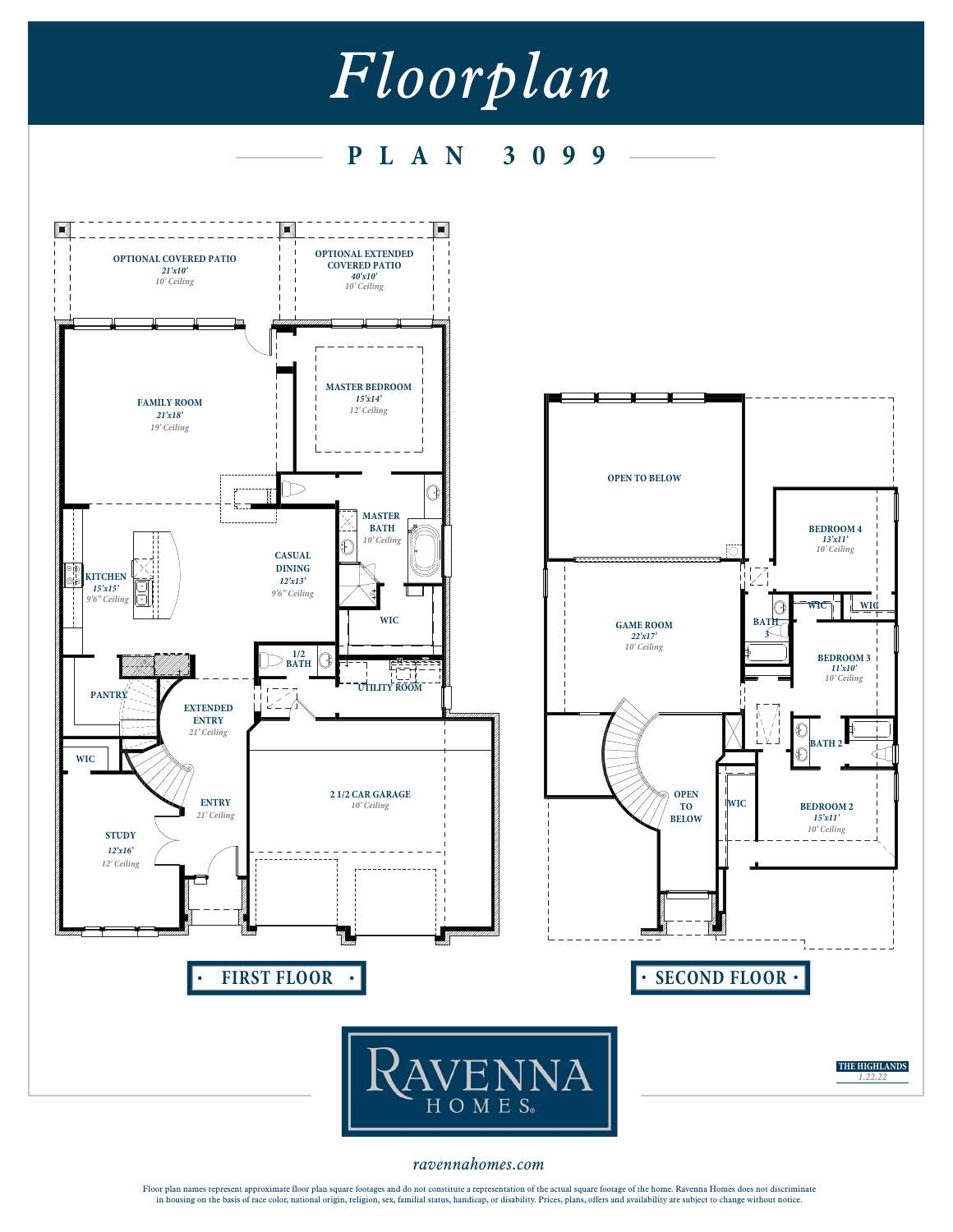## *Floorplan*

**P L A N 3099**



*ravennahomes.com*

Floor plan names represent approximate floor plan square footages and do not constitute a representation of the actual square footage of the home. Ravenna Homes does not discriminate<br>in housing on the basis of race color,